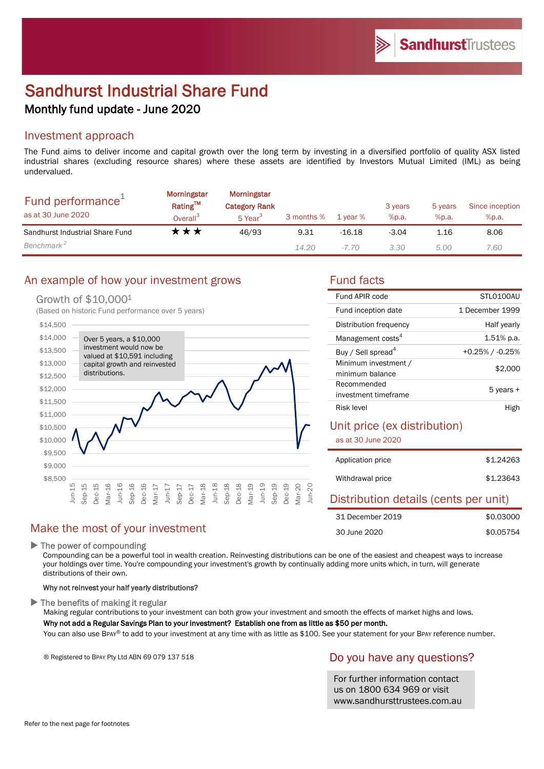# Sandhurst Industrial Share Fund Monthly fund update - June 2020

#### Investment approach

The Fund aims to deliver income and capital growth over the long term by investing in a diversified portfolio of quality ASX listed industrial shares (excluding resource shares) where these assets are identified by Investors Mutual Limited (IML) as being undervalued.

| Fund performance <sup>+</sup><br>as at 30 June 2020 | <b>Morningstar</b><br>Rating™<br>Overall <sup>3</sup> | Morningstar<br><b>Category Rank</b><br>5 Year <sup>3</sup> | 3 months % | 1 year % | 3 years<br>%p.a. | 5 years<br>%p.a. | Since inception<br>%p.a. |
|-----------------------------------------------------|-------------------------------------------------------|------------------------------------------------------------|------------|----------|------------------|------------------|--------------------------|
| Sandhurst Industrial Share Fund                     | T ★ ★                                                 | 46/93                                                      | 9.31       | $-16.18$ | $-3.04$          | 1.16             | 8.06                     |
| Benchmark <sup>2</sup>                              |                                                       |                                                            | 14.20      | -7.70    | 3.30             | 5.00             | 7.60                     |

# An example of how your investment grows Fund facts

#### Growth of \$10,000<sup>1</sup>

(Based on historic Fund performance over 5 years)



## Make the most of your investment

▶ The power of compounding

Compounding can be a powerful tool in wealth creation. Reinvesting distributions can be one of the easiest and cheapest ways to increase your holdings over time. You're compounding your investment's growth by continually adding more units which, in turn, will generate distributions of their own.

#### Why not reinvest your half yearly distributions?

 $\blacktriangleright$  The benefits of making it regular

Making regular contributions to your investment can both grow your investment and smooth the effects of market highs and lows.

#### Why not add a Regular Savings Plan to your investment? Establish one from as little as \$50 per month.

You can also use BPAY® to add to your investment at any time with as little as \$100. See your statement for your BPAY reference number.

® Registered to BPAY Pty Ltd ABN 69 079 137 518

## Do you have any questions?

For further information contact us on 1800 634 969 or visit www.sandhursttrustees.com.au

| Fund APIR code                 | STI 0100AU         |  |
|--------------------------------|--------------------|--|
| Fund inception date            | 1 December 1999    |  |
| Distribution frequency         | Half yearly        |  |
| Management costs <sup>4</sup>  | $1.51\%$ p.a.      |  |
| Buy / Sell spread <sup>4</sup> | $+0.25\%$ / -0.25% |  |
| Minimum investment /           | \$2,000            |  |
| minimum balance                |                    |  |
| Recommended                    | 5 years +          |  |
| investment timeframe           |                    |  |
| Risk level                     | High               |  |

#### Unit price (ex distribution)

as at 30 June 2020

| Application price | \$1,24263 |
|-------------------|-----------|
| Withdrawal price  | \$1,23643 |

#### Distribution details (cents per unit)

| 31 December 2019 | \$0.03000 |
|------------------|-----------|
| 30 June 2020     | \$0.05754 |